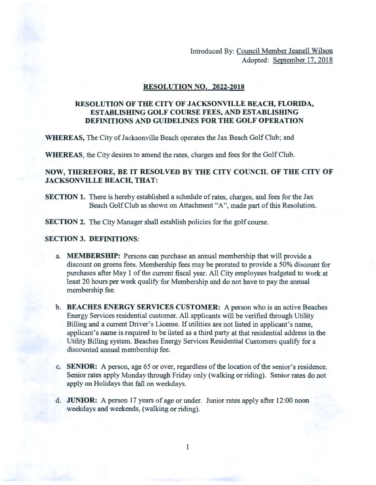Introduced By: Council Member Jeanell Wilson Adopted: September 17, 2018

#### **RESOLUTION NO. 2022-2018**

# **RESOLUTION OF THE CITY OF JACKSONVILLE BEACH, FLORIDA, ESTABLISHING GOLF COURSE FEES, AND ESTABLISHING DEFINITIONS AND GUIDELINES FOR THE GOLF OPERATION**

**WHEREAS,** The City of Jacksonville Beach operates the Jax Beach Golf Club; and

**WHEREAS,** the City desires to amend the rates, charges and fees for the Golf Club.

## **NOW, THEREFORE, BE IT RESOLVED BY THE CITY COUNCIL OF THE CITY OF JACKSONVILLE BEACH, THAT:**

- **SECTION 1.** There is hereby established a schedule of rates, charges, and fees for the Jax Beach Golf Club as shown on Attachment "A", made part of this Resolution.
- **SECTION 2.** The City Manager shall establish policies for the golf course.

#### **SECTION 3. DEFINITIONS:**

- a. **MEMBERSHIP:** Persons can purchase an annual membership that will provide a discount on greens fees. Membership fees may be prorated to provide a 50% discount for purchases after May 1 of the current fiscal year. All City employees budgeted to work at least 20 hours per week qualify for Membership and do not have to pay the annual membership fee.
- **b. BEACHES ENERGY SERVICES CUSTOMER:** A person who is an active Beaches Energy Services residential customer. All applicants will be verified through Utility Billing and a current Driver's License. If utilities are not listed in applicant's name, applicant's name is required to be listed as a third party at that residential address in the Utility Billing system. Beaches Energy Services Residential Customers qualify for a discounted annual membership fee.
- c. **SENIOR:** A person, age 65 or over, regardless of the location of the senior's residence. Senior rates apply Monday through Friday only (walking or riding). Senior rates do not apply on Holidays that fall on weekdays.
- d. **JUNIOR:** A person 17 years of age or under. Junior rates apply after 12:00 noon weekdays and weekends, (walking or riding).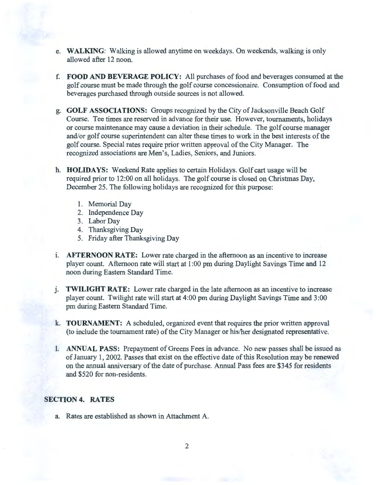- e. WALKING: Walking is allowed anytime on weekdays. On weekends, walking is only allowed after 12 noon.
- f. FOOD AND BEVERAGE POLICY: All purchases of food and beverages consumed at the golf course must be made through the golf course concessionaire. Consumption of food and beverages purchased through outside sources is not allowed.
- g. GOLF ASSOCIATIONS: Groups recognized by the City of Jacksonville Beach Golf Course. Tee times are reserved in advance for their use. However, tournaments, holidays or course maintenance may cause a deviation in their schedule. The golf course manager and/or golf course superintendent can alter these times to work in the best interests of the golf course. Special rates require prior written approval of the City Manager. The recognized associations are Men's, Ladies, Seniors, and Juniors.
- h. HOLIDAYS: Weekend Rate applies to certain Holidays. Golf cart usage will be required prior to 12:00 on all holidays. The golf course is closed on Christmas Day, December 25. The following holidays are recognized for this purpose:
	- 1. Memorial Day
	- 2. Independence Day
	- 3. Labor Day
	- 4. Thanksgiving Day
	- 5. Friday after Thanksgiving Day
- i. **AFTERNOON RATE:** Lower rate charged in the afternoon as an incentive to increase player count. Afternoon rate will start at 1 :00 pm during Daylight Savings Time and 12 noon during Eastern Standard Time.
- j. **TWILIGHT RATE:** Lower rate charged in the late afternoon as an incentive to increase player count. Twilight rate will start at 4:00 pm during Daylight Savings Time and 3:00 pm during Eastern Standard Time.
- k. TOURNAMENT: A scheduled, organized event that requires the prior written approval (to include the tournament rate) of the City Manager or his/her designated representative.
- 1. ANNUAL PASS: Prepayment of Greens Fees in advance. No new passes shall be issued as of January 1, 2002. Passes that exist on the effective date of this Resolution may be renewed on the annual anniversary of the date of purchase. Annual Pass fees are \$345 for residents and \$520 for non-residents.

#### SECTION 4. RATES

a. Rates are established as shown in Attachment A.